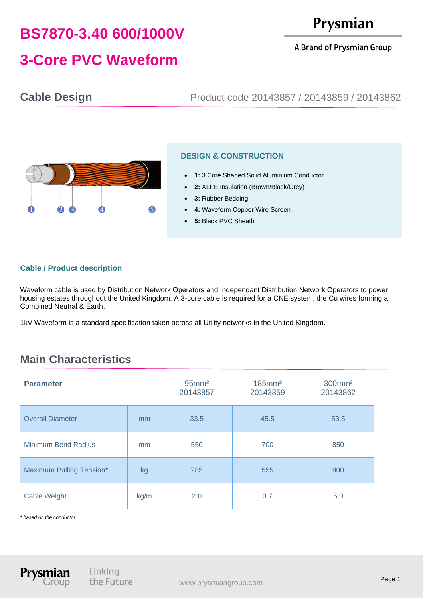# **BS7870-3.40 600/1000V**

# Prysmian

#### A Brand of Prysmian Group

# **3-Core PVC Waveform**

## **Cable Design** Product code 20143857 / 20143859 / 20143862



### **DESIGN & CONSTRUCTION**

- **1:** 3 Core Shaped Solid Aluminium Conductor
- **2:** XLPE Insulation (Brown/Black/Grey)
- **3:** Rubber Bedding
- **4: Waveform Copper Wire Screen**
- 5: Black PVC Sheath

#### **Cable / Product description**

Waveform cable is used by Distribution Network Operators and Independant Distribution Network Operators to power housing estates throughout the United Kingdom. A 3-core cable is required for a CNE system, the Cu wires forming a Combined Neutral & Earth.

1kV Waveform is a standard specification taken across all Utility networks in the United Kingdom.

# **Main Characteristics**

| <b>Parameter</b>         |      | $95$ mm <sup>2</sup><br>20143857 | $185$ mm <sup>2</sup><br>20143859 | 300mm <sup>2</sup><br>20143862 |
|--------------------------|------|----------------------------------|-----------------------------------|--------------------------------|
| <b>Overall Diameter</b>  | mm   | 33.5                             | 45.5                              | 53.5                           |
| Minimum Bend Radius      | mm   | 550                              | 700                               | 850                            |
| Maximum Pulling Tension* | kg   | 285                              | 555                               | 900                            |
| Cable Weight             | kg/m | 2.0                              | 3.7                               | 5.0                            |

*\* based on the conductor.*